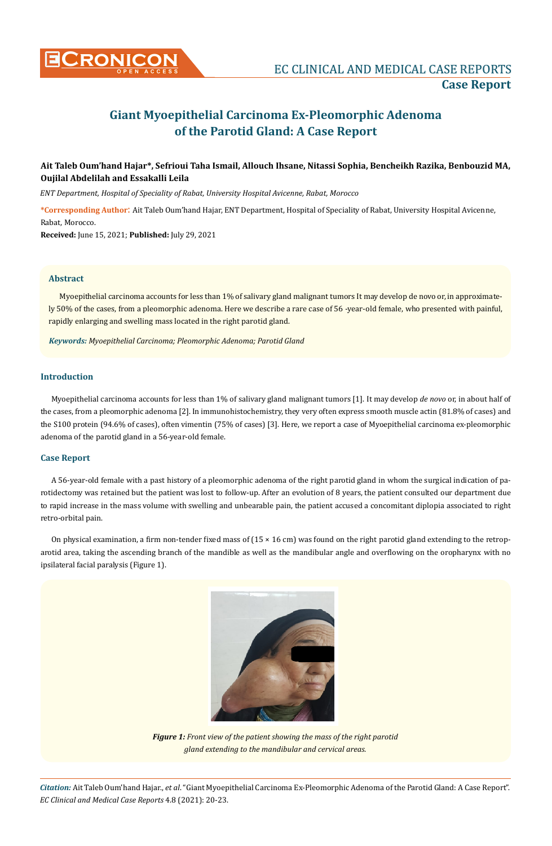

# **Giant Myoepithelial Carcinoma Ex-Pleomorphic Adenoma of the Parotid Gland: A Case Report**

# **Ait Taleb Oum'hand Hajar\*, Sefrioui Taha Ismail, Allouch Ihsane, Nitassi Sophia, Bencheikh Razika, Benbouzid MA, Oujilal Abdelilah and Essakalli Leila**

*ENT Department, Hospital of Speciality of Rabat, University Hospital Avicenne, Rabat, Morocco*

**\*Corresponding Author**: Ait Taleb Oum'hand Hajar, ENT Department, Hospital of Speciality of Rabat, University Hospital Avicenne, Rabat, Morocco.

**Received:** June 15, 2021; **Published:** July 29, 2021

#### **Abstract**

Myoepithelial carcinoma accounts for less than 1% of salivary gland malignant tumors It may develop de novo or, in approximately 50% of the cases, from a pleomorphic adenoma. Here we describe a rare case of 56 -year-old female, who presented with painful, rapidly enlarging and swelling mass located in the right parotid gland.

*Keywords: Myoepithelial Carcinoma; Pleomorphic Adenoma; Parotid Gland*

# **Introduction**

Myoepithelial carcinoma accounts for less than 1% of salivary gland malignant tumors [1]. It may develop *de novo* or, in about half of the cases, from a pleomorphic adenoma [2]. In immunohistochemistry, they very often express smooth muscle actin (81.8% of cases) and the S100 protein (94.6% of cases), often vimentin (75% of cases) [3]. Here, we report a case of Myoepithelial carcinoma ex-pleomorphic adenoma of the parotid gland in a 56-year-old female.

# **Case Report**

A 56-year-old female with a past history of a pleomorphic adenoma of the right parotid gland in whom the surgical indication of parotidectomy was retained but the patient was lost to follow-up. After an evolution of 8 years, the patient consulted our department due to rapid increase in the mass volume with swelling and unbearable pain, the patient accused a concomitant diplopia associated to right retro-orbital pain.

On physical examination, a firm non-tender fixed mass of  $(15 \times 16 \text{ cm})$  was found on the right parotid gland extending to the retroparotid area, taking the ascending branch of the mandible as well as the mandibular angle and overflowing on the oropharynx with no ipsilateral facial paralysis (Figure 1).



*Figure 1: Front view of the patient showing the mass of the right parotid gland extending to the mandibular and cervical areas.*

*Citation:* Ait Taleb Oum'hand Hajar., *et al*. "Giant Myoepithelial Carcinoma Ex-Pleomorphic Adenoma of the Parotid Gland: A Case Report". *EC Clinical and Medical Case Reports* 4.8 (2021): 20-23.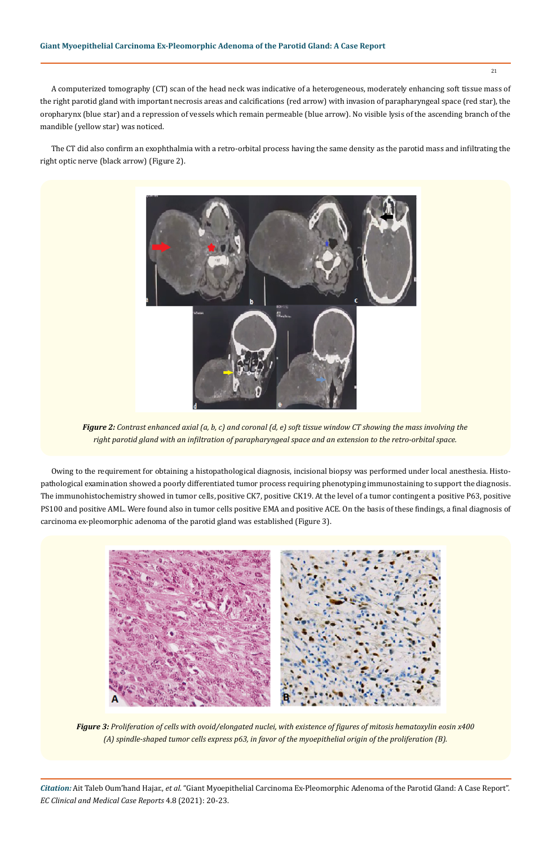A computerized tomography (CT) scan of the head neck was indicative of a heterogeneous, moderately enhancing soft tissue mass of the right parotid gland with important necrosis areas and calcifications (red arrow) with invasion of parapharyngeal space (red star), the oropharynx (blue star) and a repression of vessels which remain permeable (blue arrow). No visible lysis of the ascending branch of the mandible (yellow star) was noticed.

The CT did also confirm an exophthalmia with a retro-orbital process having the same density as the parotid mass and infiltrating the right optic nerve (black arrow) (Figure 2).



*Figure 2: Contrast enhanced axial (a, b, c) and coronal (d, e) soft tissue window CT showing the mass involving the right parotid gland with an infiltration of parapharyngeal space and an extension to the retro-orbital space.*

Owing to the requirement for obtaining a histopathological diagnosis, incisional biopsy was performed under local anesthesia. Histopathological examination showed a poorly differentiated tumor process requiring phenotyping immunostaining to support the diagnosis. The immunohistochemistry showed in tumor cells, positive CK7, positive CK19. At the level of a tumor contingent a positive P63, positive PS100 and positive AML. Were found also in tumor cells positive EMA and positive ACE. On the basis of these findings, a final diagnosis of carcinoma ex-pleomorphic adenoma of the parotid gland was established (Figure 3).



*Figure 3: Proliferation of cells with ovoid/elongated nuclei, with existence of figures of mitosis hematoxylin eosin x400 (A) spindle-shaped tumor cells express p63, in favor of the myoepithelial origin of the proliferation (B).*

*Citation:* Ait Taleb Oum'hand Hajar., *et al*. "Giant Myoepithelial Carcinoma Ex-Pleomorphic Adenoma of the Parotid Gland: A Case Report". *EC Clinical and Medical Case Reports* 4.8 (2021): 20-23.

21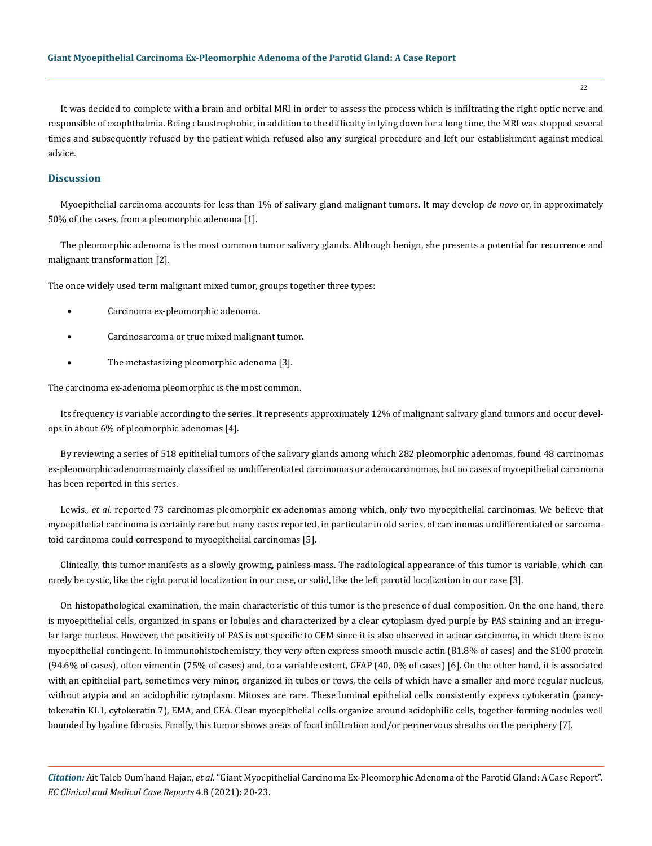It was decided to complete with a brain and orbital MRI in order to assess the process which is infiltrating the right optic nerve and responsible of exophthalmia. Being claustrophobic, in addition to the difficulty in lying down for a long time, the MRI was stopped several times and subsequently refused by the patient which refused also any surgical procedure and left our establishment against medical advice.

### **Discussion**

Myoepithelial carcinoma accounts for less than 1% of salivary gland malignant tumors. It may develop *de novo* or, in approximately 50% of the cases, from a pleomorphic adenoma [1].

The pleomorphic adenoma is the most common tumor salivary glands. Although benign, she presents a potential for recurrence and malignant transformation [2].

The once widely used term malignant mixed tumor, groups together three types:

- Carcinoma ex-pleomorphic adenoma.
- Carcinosarcoma or true mixed malignant tumor.
- The metastasizing pleomorphic adenoma [3].

The carcinoma ex-adenoma pleomorphic is the most common.

Its frequency is variable according to the series. It represents approximately 12% of malignant salivary gland tumors and occur develops in about 6% of pleomorphic adenomas [4].

By reviewing a series of 518 epithelial tumors of the salivary glands among which 282 pleomorphic adenomas, found 48 carcinomas ex-pleomorphic adenomas mainly classified as undifferentiated carcinomas or adenocarcinomas, but no cases of myoepithelial carcinoma has been reported in this series.

Lewis., *et al*. reported 73 carcinomas pleomorphic ex-adenomas among which, only two myoepithelial carcinomas. We believe that myoepithelial carcinoma is certainly rare but many cases reported, in particular in old series, of carcinomas undifferentiated or sarcomatoid carcinoma could correspond to myoepithelial carcinomas [5].

Clinically, this tumor manifests as a slowly growing, painless mass. The radiological appearance of this tumor is variable, which can rarely be cystic, like the right parotid localization in our case, or solid, like the left parotid localization in our case [3].

On histopathological examination, the main characteristic of this tumor is the presence of dual composition. On the one hand, there is myoepithelial cells, organized in spans or lobules and characterized by a clear cytoplasm dyed purple by PAS staining and an irregular large nucleus. However, the positivity of PAS is not specific to CEM since it is also observed in acinar carcinoma, in which there is no myoepithelial contingent. In immunohistochemistry, they very often express smooth muscle actin (81.8% of cases) and the S100 protein (94.6% of cases), often vimentin (75% of cases) and, to a variable extent, GFAP (40, 0% of cases) [6]. On the other hand, it is associated with an epithelial part, sometimes very minor, organized in tubes or rows, the cells of which have a smaller and more regular nucleus, without atypia and an acidophilic cytoplasm. Mitoses are rare. These luminal epithelial cells consistently express cytokeratin (pancytokeratin KL1, cytokeratin 7), EMA, and CEA. Clear myoepithelial cells organize around acidophilic cells, together forming nodules well bounded by hyaline fibrosis. Finally, this tumor shows areas of focal infiltration and/or perinervous sheaths on the periphery [7].

*Citation:* Ait Taleb Oum'hand Hajar., *et al*. "Giant Myoepithelial Carcinoma Ex-Pleomorphic Adenoma of the Parotid Gland: A Case Report". *EC Clinical and Medical Case Reports* 4.8 (2021): 20-23.

22